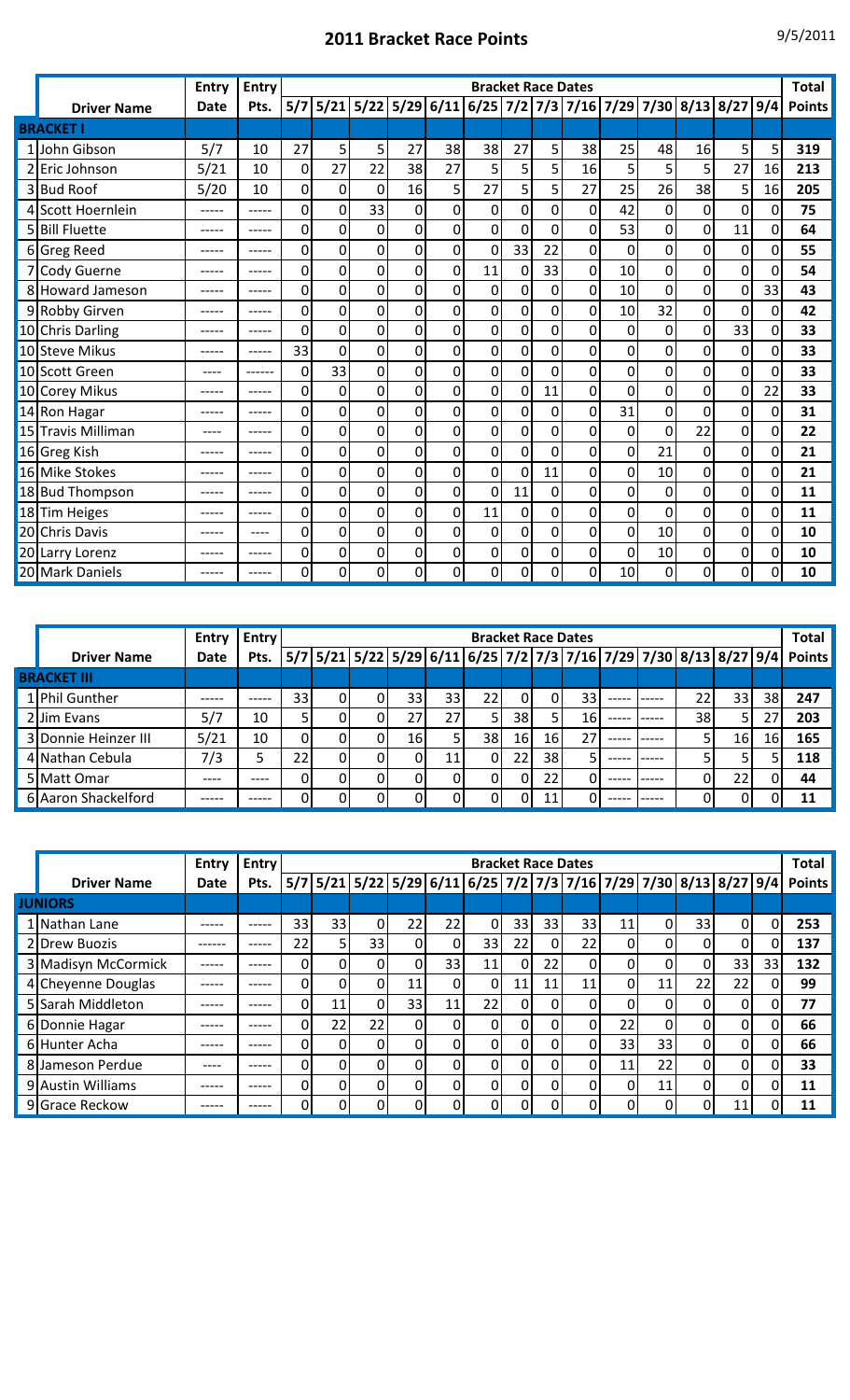## **2011 Bracket Race Points** 9/5/2011

|                    | Entry       | <b>Entry</b> |     |          |             |    |                  | <b>Bracket Race Dates</b> |             |             |                |             |                |                                                           |                |     | <b>Total</b>  |
|--------------------|-------------|--------------|-----|----------|-------------|----|------------------|---------------------------|-------------|-------------|----------------|-------------|----------------|-----------------------------------------------------------|----------------|-----|---------------|
| <b>Driver Name</b> | <b>Date</b> | Pts.         | 5/7 |          |             |    |                  |                           |             |             |                |             |                | 5/21 5/22 5/29 6/11 6/25 7/2 7/3 7/16 7/29 7/30 8/13 8/27 |                | 9/4 | <b>Points</b> |
| <b>BRACKET I</b>   |             |              |     |          |             |    |                  |                           |             |             |                |             |                |                                                           |                |     |               |
| 1 John Gibson      | 5/7         | 10           | 27  | 5        | 5           | 27 | 38               | 38                        | 27          | 5           | 38             | 25          | 48             | 16                                                        | 5              | 5   | 319           |
| 2 Eric Johnson     | 5/21        | 10           | 0   | 27       | 22          | 38 | 27               | 5                         | 5           | 5           | 16             | 5           | 5              | 5                                                         | 27             | 16  | 213           |
| 3 Bud Roof         | 5/20        | 10           | 0   | 0        | 0           | 16 | 5                | 27                        | 5           | 5           | 27             | 25          | 26             | 38                                                        | 5              | 16  | 205           |
| 4 Scott Hoernlein  | -----       | -----        | 0   | $\Omega$ | 33          | 0  | 0                | 0                         | 0           | 0           | $\mathbf 0$    | 42          | 0              | 0                                                         | 0              | 0   | 75            |
| 5 Bill Fluette     | -----       | -----        | 0   | 0        | 0           | 0  | 0                | 0                         | 0           | 0           | 0              | 53          | $\overline{0}$ | 0                                                         | 11             | 0   | 64            |
| 6 Greg Reed        | -----       | -----        | 0   | 0        | 0           | 0  | $\boldsymbol{0}$ | $\mathbf 0$               | 33          | 22          | 0              | $\mathbf 0$ | 0              | 0                                                         | 0              | 0   | 55            |
| 7 Cody Guerne      | ------      | -----        | 0   | 0        | 0           | 0  | 0                | 11                        | $\mathbf 0$ | 33          | 0              | 10          | 0              | 0                                                         | $\overline{0}$ | 0   | 54            |
| 8 Howard Jameson   |             |              | 0   | 0        | 0           | 0  | $\mathbf 0$      | 0                         | 0           | $\mathbf 0$ | 0              | 10          | 0              | 0                                                         | 0              | 33  | 43            |
| 9 Robby Girven     | -----       | -----        | 0   | 0        | $\mathbf 0$ | 0  | 0                | 0                         | 0           | 0           | 0              | 10          | 32             | 0                                                         | 0              | 0   | 42            |
| 10 Chris Darling   | -----       | -----        | 0   | 0        | $\mathbf 0$ | 0  | $\mathbf 0$      | 0                         | 0           | $\mathbf 0$ | 0              | 0           | 0              | $\overline{0}$                                            | 33             | 0   | 33            |
| 10 Steve Mikus     | -----       | -----        | 33  | 0        | $\mathbf 0$ | 0  | $\mathbf 0$      | 0                         | 0           | $\mathbf 0$ | 0              | $\mathbf 0$ | 0              | $\mathbf 0$                                               | 0              | 0   | 33            |
| 10 Scott Green     | ----        | ------       | 0   | 33       | 0           | 0  | $\mathbf 0$      | 0                         | 0           | $\mathbf 0$ | 0              | $\mathbf 0$ | 0              | 0                                                         | $\mathbf 0$    | 0   | 33            |
| 10 Corey Mikus     | -----       | -----        | 0   | 0        | $\mathbf 0$ | 0  | 0                | 0                         | 0           | 11          | 0              | 0           | 0              | 0                                                         | 0              | 22  | 33            |
| 14 Ron Hagar       |             |              | 0   | 0        | 0           | 0  | 0                | 0                         | 0           | 0           | 0              | 31          | 0              | 0                                                         | $\mathbf{0}$   | 0   | 31            |
| 15 Travis Milliman | ----        | -----        | 0   | 0        | 0           | 0  | 0                | 0                         | 0           | 0           | 0              | 0           | 0              | 22                                                        | 0              | 0   | 22            |
| 16 Greg Kish       | -----       | -----        | 0   | 0        | 0           | 0  | $\mathbf 0$      | 0                         | 0           | $\mathbf 0$ | 0              | $\mathbf 0$ | 21             | 0                                                         | 0              | 0   | 21            |
| 16 Mike Stokes     | -----       | ------       | 0   | 0        | 0           | 0  | 0                | 0                         | 0           | 11          | 0              | 0           | 10             | 0                                                         | 0              | 0   | 21            |
| 18 Bud Thompson    | -----       | -----        | 0   | 0        | 0           | 0  | 0                | $\Omega$                  | 11          | 0           | 0              | 0           | 0              | 0                                                         | 0              | 0   | 11            |
| 18Tim Heiges       | -----       | -----        | 0   | 0        | 0           | 0  | 0                | 11                        | 0           | 0           | 0              | 0           | 0              | 0                                                         | 0              | 0   | 11            |
| 20 Chris Davis     | -----       | ----         | 0   | 0        | 0           | 0  | $\mathbf 0$      | 0                         | 0           | 0           | 0              | 0           | 10             | 0                                                         | 0              | 0   | 10            |
| 20 Larry Lorenz    | -----       | -----        | 0   | 0        | 0           | 0  | 0                | 0                         | 0           | 0           | 0              | $\mathbf 0$ | 10             | 0                                                         | 0              | 0   | 10            |
| 20 Mark Daniels    | -----       | -----        | 0   | 0        | 0           | 0  | 0                | 0                         | 0           | 0           | $\overline{0}$ | 10          | 0              | 0                                                         | 0              | 0   | 10            |

|                      | <b>Entry</b> | <b>Entry</b> |                 | <b>Bracket Race Dates</b> |  |                 |                                                                   |                 |          |     |    |        |             |    |                 |     |               |
|----------------------|--------------|--------------|-----------------|---------------------------|--|-----------------|-------------------------------------------------------------------|-----------------|----------|-----|----|--------|-------------|----|-----------------|-----|---------------|
| <b>Driver Name</b>   | Date         | Pts.         |                 |                           |  |                 | 5/7 5/21 5/22 5/29 6/11 6/25 7/2 7/3 7/16 7/29 7/30 8/13 8/27 9/4 |                 |          |     |    |        |             |    |                 |     | <b>Points</b> |
| <b>BRACKET III</b>   |              |              |                 |                           |  |                 |                                                                   |                 |          |     |    |        |             |    |                 |     |               |
| 1 Phil Gunther       | -----        | -----        | 33 <sup>1</sup> |                           |  | 33              | 33                                                                | 22 <sub>1</sub> | $\Omega$ |     | 33 | ------ | -----       | 22 | 33              | 38  | 247           |
| 2 Jim Evans          | 5/7          | 10           | 5               |                           |  | 27              | 27 <sub>1</sub>                                                   |                 | 38       |     | 16 |        | $- - - - -$ | 38 |                 | 27  | 203           |
| 3 Donnie Heinzer III | 5/21         | 10           | 0               |                           |  | 16 <sub>1</sub> |                                                                   | 38              | 16       | 16  | 27 | ------ | -----       |    | 16 <sub>1</sub> | 16' | 165           |
| 4 Nathan Cebula      | 7/3          | 5            | 22              |                           |  |                 | 11 <sub>1</sub>                                                   |                 | 22       | 38  |    | ------ | $- - - - -$ |    |                 |     | 118           |
| 5 Matt Omar          | ----         | ----         | 0               |                           |  |                 | $\Omega$                                                          |                 | $\Omega$ | 22  |    | -----  | $- - - - -$ |    | 22              |     | 44            |
| 6 Aaron Shackelford  | -----        | -----        | 0               |                           |  |                 | 0                                                                 | $\Omega$        | $\Omega$ | 11. |    | ------ | -----       |    |                 |     | 11            |

|                     | <b>Entry</b> | <b>Entry</b> |              |    |    |          |                 | <b>Bracket Race Dates</b> |          |          |                                                                   |          |          |          |          |    | Total         |
|---------------------|--------------|--------------|--------------|----|----|----------|-----------------|---------------------------|----------|----------|-------------------------------------------------------------------|----------|----------|----------|----------|----|---------------|
| <b>Driver Name</b>  | Date         | Pts.         |              |    |    |          |                 |                           |          |          | 5/7 5/21 5/22 5/29 6/11 6/25 7/2 7/3 7/16 7/29 7/30 8/13 8/27 9/4 |          |          |          |          |    | <b>Points</b> |
| <b>JUNIORS</b>      |              |              |              |    |    |          |                 |                           |          |          |                                                                   |          |          |          |          |    |               |
| 1 Nathan Lane       | -----        | -----        | 33           | 33 | 0  | 22       | 22 <sub>1</sub> | 0                         | 33       | 33       | 33                                                                | 11       | 0        | 33       | 0        |    | 253           |
| 2 Drew Buozis       | _____.       | -----        | 22           | 5. | 33 | $\Omega$ | $\Omega$        | 33                        | 22       | $\Omega$ | 22                                                                | $\Omega$ | $\Omega$ | $\Omega$ | 0        |    | 137           |
| 3 Madisyn McCormick | -----        | -----        | 0            | Ωı | 0  | $\Omega$ | 33              | 11                        | 0        | 22       | $\Omega$                                                          | $\Omega$ |          |          | 33       | 33 | 132           |
| 4 Cheyenne Douglas  | -----        | -----        | $\mathbf{0}$ |    |    | 11       | $\overline{0}$  | $\Omega$                  | 11       | 11       | 11                                                                | $\Omega$ | 11       | 22       | 22       |    | 99            |
| 5 Sarah Middleton   | -----        | -----        | 0            | 11 | 0  | 33       | 11              | 22                        | 0        | $\Omega$ | 0                                                                 | $\Omega$ | 0        |          | $\Omega$ |    | 77            |
| 6 Donnie Hagar      | -----        | -----        | 0            | 22 | 22 | $\Omega$ | $\Omega$        | $\Omega$                  | $\Omega$ | $\Omega$ | $\Omega$                                                          | 22       | 0        |          | $\Omega$ |    | 66            |
| 6 Hunter Acha       | -----        | -----        | 0            | 01 | 0  | $\Omega$ | $\Omega$        | $\Omega$                  | $\Omega$ | $\Omega$ | $\Omega$                                                          | 33       | 33       | $\Omega$ | 0        |    | 66            |
| 8 Jameson Perdue    | ----         | -----        | 0            | ΩI |    | 0        | $\Omega$        | $\Omega$                  | $\Omega$ |          | $\Omega$                                                          | 11       | 22       |          | 0        |    | 33            |
| 9 Austin Williams   | -----        | -----        | 0            |    |    | 0        | $\Omega$        | $\Omega$                  | 0        |          | 0                                                                 | $\Omega$ | 11       | 0        | 0        |    | 11            |
| 9 Grace Reckow      | -----        | -----        | 0            | Ωı |    |          | $\Omega$        | $\Omega$                  | 0        |          | 0                                                                 | $\Omega$ | $\Omega$ | $\Omega$ | 11       |    | 11            |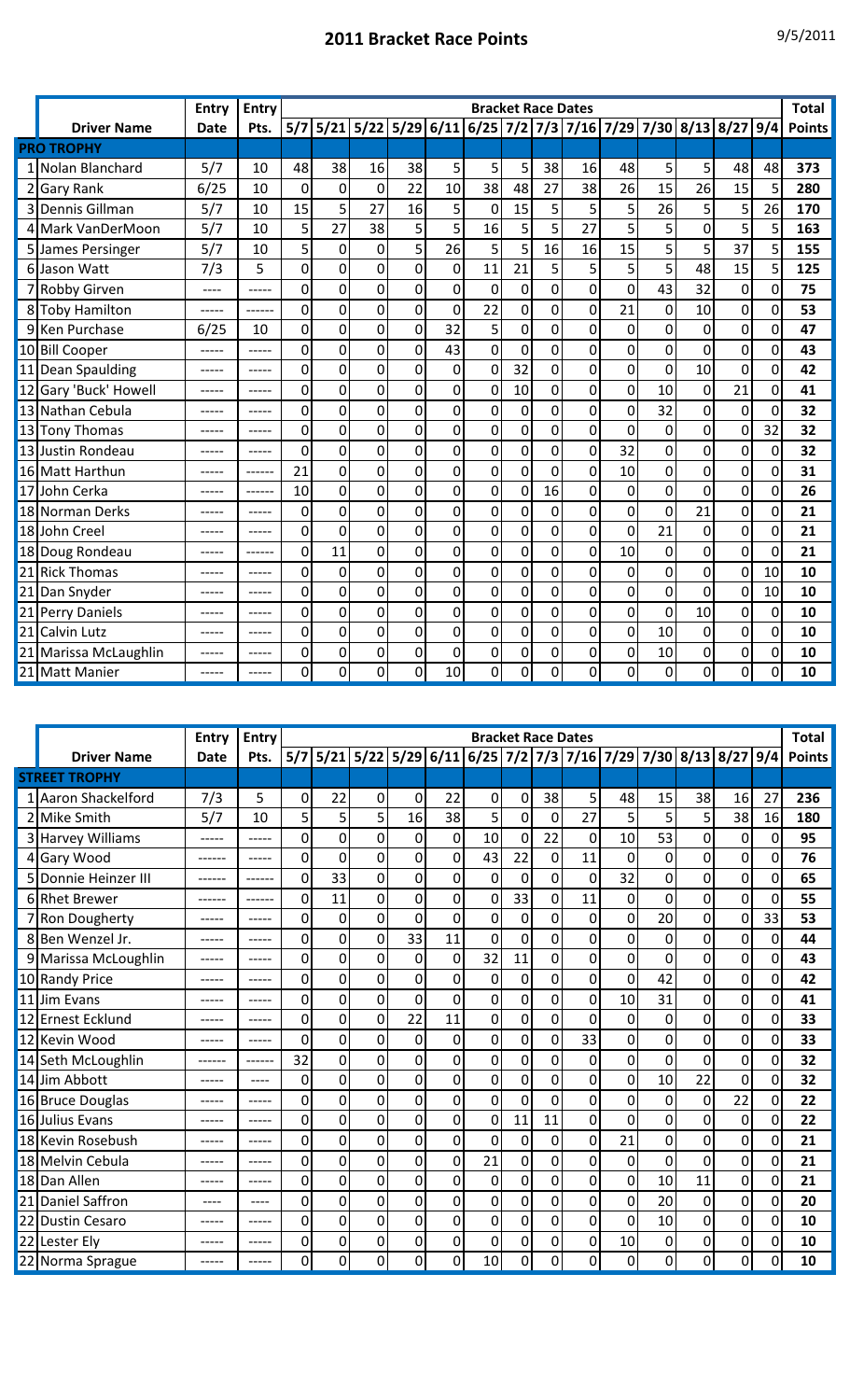## **2011 Bracket Race Points** 9/5/2011

|    |                     | <b>Bracket Race Dates</b> |             |                  |                                                               |             |                |                |                |             |             |             |                  |                |                  |                |                |               |
|----|---------------------|---------------------------|-------------|------------------|---------------------------------------------------------------|-------------|----------------|----------------|----------------|-------------|-------------|-------------|------------------|----------------|------------------|----------------|----------------|---------------|
|    |                     | <b>Entry</b>              | Entry       |                  |                                                               |             |                |                |                |             |             |             |                  |                |                  |                |                | <b>Total</b>  |
|    | <b>Driver Name</b>  | <b>Date</b>               | Pts.        |                  | 5/7 5/21 5/22 5/29 6/11 6/25 7/2 7/3 7/16 7/29 7/30 8/13 8/27 |             |                |                |                |             |             |             |                  |                |                  |                | 9/4            | <b>Points</b> |
|    | <b>PRO TROPHY</b>   |                           |             |                  |                                                               |             |                |                |                |             |             |             |                  |                |                  |                |                |               |
|    | 1 Nolan Blanchard   | 5/7                       | 10          | 48               | 38                                                            | 16          | 38             | 5              | 5              | 5           | 38          | 16          | 48               | 5              | 5                | 48             | 48             | 373           |
|    | 2 Gary Rank         | 6/25                      | 10          | $\mathbf 0$      | $\mathbf 0$                                                   | $\mathbf 0$ | 22             | 10             | 38             | 48          | 27          | 38          | 26               | 15             | 26               | 15             | 5              | 280           |
|    | 3 Dennis Gillman    | 5/7                       | 10          | 15               | 5                                                             | 27          | 16             | 5              | 0              | 15          | 5           | 5           | 5                | 26             | 5                | 5              | 26             | 170           |
|    | 4 Mark VanDerMoon   | 5/7                       | 10          | 5                | 27                                                            | 38          | 5              | 5              | 16             | 5           | 5           | 27          | 5                | 5              | 0                | 5              | 5              | 163           |
|    | James Persinger     | 5/7                       | 10          | 5                | 0                                                             | 0           | 5              | 26             | 5              | 5           | 16          | 16          | 15               | 5              | 5                | 37             | 5              | 155           |
|    | 6 Jason Watt        | 7/3                       | 5           | $\mathbf 0$      | $\mathbf 0$                                                   | 0           | 0              | $\mathbf 0$    | 11             | 21          | 5           | 5           | 5                | 5              | 48               | 15             | 5              | 125           |
|    | <b>Robby Girven</b> | ----                      | -----       | $\mathbf 0$      | 0                                                             | 0           | 0              | $\mathbf 0$    | $\mathbf 0$    | $\mathbf 0$ | 0           | 0           | 0                | 43             | 32               | $\mathbf 0$    | $\mathbf{0}$   | 75            |
|    | 8 Toby Hamilton     |                           |             | $\mathbf 0$      | 0                                                             | 0           | 0              | $\overline{0}$ | 22             | $\mathbf 0$ | $\mathbf 0$ | 0           | 21               | $\mathbf 0$    | 10               | $\overline{0}$ | $\overline{0}$ | 53            |
|    | 9 Ken Purchase      | 6/25                      | 10          | $\mathbf 0$      | 0                                                             | 0           | 0              | 32             | 5              | $\mathbf 0$ | 0           | 0           | $\mathbf 0$      | $\mathbf 0$    | 0                | $\mathbf 0$    | $\Omega$       | 47            |
|    | 10 Bill Cooper      |                           |             | 0                | $\mathbf 0$                                                   | $\mathbf 0$ | $\overline{0}$ | 43             | $\mathbf 0$    | $\mathbf 0$ | 0           | 0           | $\mathbf 0$      | $\mathbf 0$    | $\mathbf 0$      | $\overline{0}$ | $\overline{0}$ | 43            |
|    | 11 Dean Spaulding   | -----                     | $- - - - -$ | $\mathbf 0$      | $\mathbf 0$                                                   | 0           | 0              | $\mathbf 0$    | $\mathbf 0$    | 32          | 0           | $\mathbf 0$ | $\mathbf 0$      | $\overline{0}$ | 10               | $\mathbf 0$    | $\overline{0}$ | 42            |
| 12 | Gary 'Buck' Howell  | -----                     |             | 0                | $\boldsymbol{0}$                                              | $\mathbf 0$ | 0              | $\pmb{0}$      | $\mathbf 0$    | 10          | 0           | 0           | 0                | 10             | $\boldsymbol{0}$ | 21             | $\mathbf 0$    | 41            |
|    | 13 Nathan Cebula    |                           |             | 0                | $\mathbf 0$                                                   | 0           | $\mathbf 0$    | 0              | $\mathbf 0$    | $\mathbf 0$ | 0           | $\mathbf 0$ | $\mathbf 0$      | 32             | 0                | $\mathbf 0$    | $\mathbf{0}$   | 32            |
|    | 13 Tony Thomas      | -----                     |             | $\mathbf 0$      | 0                                                             | 0           | 0              | 0              | $\mathbf 0$    | 0           | $\mathbf 0$ | 0           | $\mathbf 0$      | 0              | 0                | $\mathbf 0$    | 32             | 32            |
|    | 13 Justin Rondeau   | -----                     |             | $\mathbf 0$      | $\overline{0}$                                                | 0           | $\mathbf 0$    | $\mathbf 0$    | $\mathbf 0$    | 0           | $\mathbf 0$ | $\mathbf 0$ | 32               | $\mathbf 0$    | 0                | $\mathbf 0$    | $\overline{0}$ | 32            |
| 16 | <b>Matt Harthun</b> | -----                     | ------      | 21               | 0                                                             | 0           | 0              | $\mathbf 0$    | $\mathbf 0$    | $\mathbf 0$ | 0           | 0           | 10               | $\mathbf 0$    | 0                | $\mathbf 0$    | $\Omega$       | 31            |
| 17 | John Cerka          |                           |             | 10               | 0                                                             | 0           | 0              | $\overline{0}$ | $\mathbf 0$    | $\mathbf 0$ | 16          | 0           | 0                | $\mathbf 0$    | 0                | $\mathbf 0$    | 0              | 26            |
| 18 | Norman Derks        | -----                     | $--- - -$   | 0                | 0                                                             | $\mathbf 0$ | $\Omega$       | $\mathbf 0$    | $\mathbf 0$    | 0           | $\mathbf 0$ | 0           | $\overline{0}$   | $\Omega$       | 21               | $\mathbf 0$    | $\Omega$       | 21            |
|    | 18 John Creel       |                           |             | $\boldsymbol{0}$ | 0                                                             | 0           | 0              | 0              | $\mathbf 0$    | 0           | $\mathbf 0$ | 0           | 0                | 21             | 0                | $\mathbf 0$    | $\Omega$       | 21            |
|    | 18 Doug Rondeau     |                           |             | $\mathbf 0$      | 11                                                            | 0           | 0              | 0              | $\overline{0}$ | 0           | $\mathbf 0$ | 0           | 10               | $\overline{0}$ | $\overline{0}$   | $\overline{0}$ | $\Omega$       | 21            |
|    | 21 Rick Thomas      |                           |             | 0                | $\mathbf 0$                                                   | 0           | 0              | 0              | 0              | $\mathbf 0$ | 0           | $\Omega$    | $\overline{0}$   | $\mathbf 0$    | 0                | $\mathbf 0$    | 10             | 10            |
| 21 | Dan Snyder          | -----                     |             | 0                | 0                                                             | 0           | 0              | 0              | 0              | 0           | 0           | 0           | 0                | 0              | 0                | 0              | 10             | 10            |
| 21 | Perry Daniels       |                           |             | 0                | 0                                                             | 0           | 0              | $\mathbf 0$    | 0              | $\mathbf 0$ | 0           | 0           | $\mathbf 0$      | 0              | 10               | 0              | 0              | 10            |
| 21 | <b>Calvin Lutz</b>  | -----                     |             | 0                | 0                                                             | 0           | 0              | $\mathbf 0$    | 0              | 0           | 0           | 0           | $\mathbf 0$      | 10             | $\mathbf 0$      | $\mathbf 0$    | 0              | 10            |
| 21 | Marissa McLaughlin  |                           |             | 0                | $\mathbf 0$                                                   | $\mathbf 0$ | 0              | 0              | 0              | $\mathbf 0$ | 0           | 0           | $\boldsymbol{0}$ | 10             | $\mathbf 0$      | $\overline{0}$ | 0              | 10            |
|    | 21 Matt Manier      |                           |             | 0                | 0                                                             | 0           | 0              | 10             | 0              | 0           | 0           | 0           | 0                | $\mathbf 0$    | 0                | 0              | 0              | 10            |

|    |                       | <b>Entry</b> | <b>Entry</b> |     |                                                           |                |    |                |          |                |                | <b>Bracket Race Dates</b> |                  |             |    |             |          | <b>Total</b>  |  |  |  |  |  |  |  |
|----|-----------------------|--------------|--------------|-----|-----------------------------------------------------------|----------------|----|----------------|----------|----------------|----------------|---------------------------|------------------|-------------|----|-------------|----------|---------------|--|--|--|--|--|--|--|
|    | <b>Driver Name</b>    | <b>Date</b>  | Pts.         | 5/7 | 5/21 5/22 5/29 6/11 6/25 7/2 7/3 7/16 7/29 7/30 8/13 8/27 |                |    |                |          |                |                |                           |                  |             |    |             | 9/4      | <b>Points</b> |  |  |  |  |  |  |  |
|    | <b>STREET TROPHY</b>  |              |              |     |                                                           |                |    |                |          |                |                |                           |                  |             |    |             |          |               |  |  |  |  |  |  |  |
|    | 1 Aaron Shackelford   | 7/3          | 5            | 0   | 22                                                        | 0              | 0  | 22             | 0        | 0              | 38             | 5                         | 48               | 15          | 38 | 16          | 27       | 236           |  |  |  |  |  |  |  |
|    | 2 Mike Smith          | 5/7          | 10           | 5   | 5                                                         | 5              | 16 | 38             | 5        | 0              | 0              | 27                        | 5                | 5           | 5  | 38          | 16       | 180           |  |  |  |  |  |  |  |
|    | 3 Harvey Williams     | -----        | -----        | 0   | 0                                                         | 0              | 0  | 0              | 10       | $\mathbf 0$    | 22             | 0                         | 10               | 53          | 0  | 0           | 0        | 95            |  |  |  |  |  |  |  |
|    | 4 Gary Wood           | ------       | -----        | 0   | 0                                                         | 0              | 0  | 0              | 43       | 22             | 0              | 11                        | $\mathbf 0$      | $\mathbf 0$ | 0  | 0           | 0        | 76            |  |  |  |  |  |  |  |
|    | 5 Donnie Heinzer III  | ------       | ------       | 0   | 33                                                        | $\overline{0}$ | 0  | $\mathbf 0$    | $\Omega$ | 0              | $\mathbf 0$    | $\mathbf 0$               | 32               | 0           | 0  | 0           | 0        | 65            |  |  |  |  |  |  |  |
|    | 6 Rhet Brewer         | ------       |              | 0   | 11                                                        | $\mathbf 0$    | 0  | 0              | 0        | 33             | $\mathbf 0$    | 11                        | $\boldsymbol{0}$ | 0           | 0  | 0           | 0        | 55            |  |  |  |  |  |  |  |
|    | 7 Ron Dougherty       | -----        | -----        | 0   | $\mathbf 0$                                               | $\overline{0}$ | 0  | $\overline{0}$ | 0        | 0              | $\overline{0}$ | 0                         | $\overline{0}$   | 20          | 0  | 0           | 33       | 53            |  |  |  |  |  |  |  |
|    | 8 Ben Wenzel Jr.      | -----        |              | 0   | 0                                                         | $\mathbf 0$    | 33 | 11             | 0        | $\mathbf 0$    | $\mathbf 0$    | 0                         | $\mathbf 0$      | $\mathbf 0$ | 0  | 0           | 0        | 44            |  |  |  |  |  |  |  |
|    | 9 Marissa McLoughlin  | -----        | -----        | 0   | 0                                                         | 0              | 0  | $\mathbf 0$    | 32       | 11             | 0              | 0                         | $\mathbf 0$      | 0           | 0  | 0           | 0        | 43            |  |  |  |  |  |  |  |
|    | 10 Randy Price        | -----        | -----        | 0   | 0                                                         | $\mathbf 0$    | 0  | 0              | 0        | $\overline{0}$ | 0              | 0                         | $\overline{0}$   | 42          | 0  | $\Omega$    | 0        | 42            |  |  |  |  |  |  |  |
|    | 11 Jim Evans          | -----        | -----        | 0   | 0                                                         | 0              | 0  | $\mathbf 0$    | 0        | 0              | $\mathbf 0$    | 0                         | 10               | 31          | 0  | 0           | 0        | 41            |  |  |  |  |  |  |  |
| 12 | <b>Ernest Ecklund</b> | -----        | -----        | 0   | 0                                                         | 0              | 22 | 11             | 0        | 0              | 0              | 0                         | $\mathbf 0$      | $\mathbf 0$ | 0  | 0           | 0        | 33            |  |  |  |  |  |  |  |
|    | 12 Kevin Wood         | -----        | -----        | 0   | 0                                                         | 0              | 0  | $\mathbf 0$    | 0        | 0              | $\mathbf 0$    | 33                        | $\mathbf 0$      | 0           | 0  | 0           | 0        | 33            |  |  |  |  |  |  |  |
|    | 14 Seth McLoughlin    | ------       | ------       | 32  | 0                                                         | 0              | 0  | $\mathbf 0$    | 0        | 0              | $\mathbf 0$    | 0                         | $\mathbf 0$      | $\mathbf 0$ | 0  | 0           | 0        | 32            |  |  |  |  |  |  |  |
|    | 14 Jim Abbott         | -----        | ----         | 0   | 0                                                         | 0              | 0  | 0              | 0        | 0              | $\mathbf 0$    | 0                         | 0                | 10          | 22 | 0           | 0        | 32            |  |  |  |  |  |  |  |
|    | 16 Bruce Douglas      | -----        | -----        | 0   | 0                                                         | 0              | 0  | 0              | 0        | 0              | 0              | 0                         | 0                | $\mathbf 0$ | 0  | 22          | $\Omega$ | 22            |  |  |  |  |  |  |  |
|    | 16 Julius Evans       | -----        | -----        | 0   | 0                                                         | $\overline{0}$ | 0  | 0              | 0        | 11             | 11             | 0                         | $\overline{0}$   | 0           | 0  | 0           | 0        | 22            |  |  |  |  |  |  |  |
|    | 18 Kevin Rosebush     | -----        | -----        | 0   | 0                                                         | 0              | 0  | 0              | 0        | 0              | 0              | 0                         | 21               | 0           | 0  | 0           | 0        | 21            |  |  |  |  |  |  |  |
|    | 18 Melvin Cebula      | -----        | -----        | 0   | 0                                                         | 0              | 0  | 0              | 21       | $\overline{0}$ | 0              | 0                         | $\mathbf 0$      | 0           | 0  | $\mathbf 0$ | 0        | 21            |  |  |  |  |  |  |  |
|    | 18 Dan Allen          | -----        | -----        | 0   | 0                                                         | 0              | 0  | 0              | 0        | 0              | 0              | 0                         | 0                | 10          | 11 | 0           | 0        | 21            |  |  |  |  |  |  |  |
|    | 21 Daniel Saffron     | ----         | ----         | 0   | 0                                                         | 0              | 0  | 0              | 0        | 0              | $\mathbf 0$    | 0                         | 0                | 20          | 0  | 0           | 0        | 20            |  |  |  |  |  |  |  |
| 22 | <b>Dustin Cesaro</b>  | -----        | -----        | 0   | 0                                                         | 0              | 0  | $\mathbf 0$    | 0        | $\overline{0}$ | $\mathbf 0$    | 0                         | $\overline{0}$   | 10          | 0  | 0           | $\Omega$ | 10            |  |  |  |  |  |  |  |
|    | 22 Lester Ely         | -----        | -----        | 0   | 0                                                         | 0              | 0  | 0              | 0        | $\overline{0}$ | $\mathbf 0$    | $\overline{0}$            | 10               | 0           | 0  | 0           | 0        | 10            |  |  |  |  |  |  |  |
|    | 22 Norma Sprague      |              |              | 0   | 0                                                         | 0              | 0  | 0              | 10       | 0              | 0              | 0                         | 0                | 0           | 0  | 0           | 0        | 10            |  |  |  |  |  |  |  |